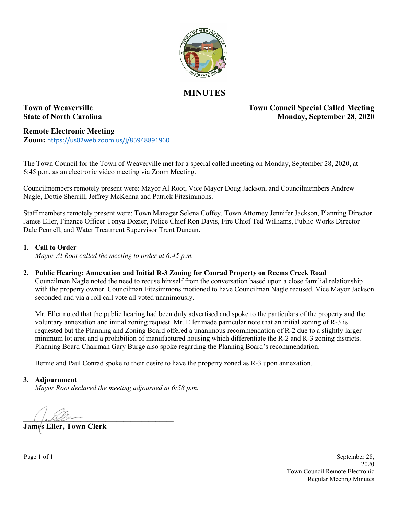

# **MINUTES**

**Town of Weaverville Town Council Special Called Meeting State of North Carolina** Monday, September 28, 2020

**Remote Electronic Meeting Zoom:** <https://us02web.zoom.us/j/85948891960>

The Town Council for the Town of Weaverville met for a special called meeting on Monday, September 28, 2020, at 6:45 p.m. as an electronic video meeting via Zoom Meeting.

Councilmembers remotely present were: Mayor Al Root, Vice Mayor Doug Jackson, and Councilmembers Andrew Nagle, Dottie Sherrill, Jeffrey McKenna and Patrick Fitzsimmons.

Staff members remotely present were: Town Manager Selena Coffey, Town Attorney Jennifer Jackson, Planning Director James Eller, Finance Officer Tonya Dozier, Police Chief Ron Davis, Fire Chief Ted Williams, Public Works Director Dale Pennell, and Water Treatment Supervisor Trent Duncan.

### **1. Call to Order**

*Mayor Al Root called the meeting to order at 6:45 p.m.* 

### **2. Public Hearing: Annexation and Initial R-3 Zoning for Conrad Property on Reems Creek Road**

Councilman Nagle noted the need to recuse himself from the conversation based upon a close familial relationship with the property owner. Councilman Fitzsimmons motioned to have Councilman Nagle recused. Vice Mayor Jackson seconded and via a roll call vote all voted unanimously.

Mr. Eller noted that the public hearing had been duly advertised and spoke to the particulars of the property and the voluntary annexation and initial zoning request. Mr. Eller made particular note that an initial zoning of R-3 is requested but the Planning and Zoning Board offered a unanimous recommendation of R-2 due to a slightly larger minimum lot area and a prohibition of manufactured housing which differentiate the R-2 and R-3 zoning districts. Planning Board Chairman Gary Burge also spoke regarding the Planning Board's recommendation.

Bernie and Paul Conrad spoke to their desire to have the property zoned as R-3 upon annexation.

#### **3. Adjournment**

*Mayor Root declared the meeting adjourned at 6:58 p.m.*

 $\frac{1}{2}$ 

**James Eller, Town Clerk**

Page 1 of 1 September 28, 2020 Town Council Remote Electronic Regular Meeting Minutes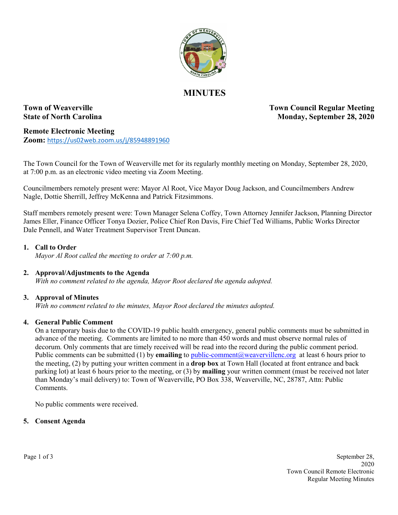

# **MINUTES**

**Town of Weaverville Town Council Regular Meeting State of North Carolina Monday, September 28, 2020** 

**Remote Electronic Meeting Zoom:** <https://us02web.zoom.us/j/85948891960>

The Town Council for the Town of Weaverville met for its regularly monthly meeting on Monday, September 28, 2020, at 7:00 p.m. as an electronic video meeting via Zoom Meeting.

Councilmembers remotely present were: Mayor Al Root, Vice Mayor Doug Jackson, and Councilmembers Andrew Nagle, Dottie Sherrill, Jeffrey McKenna and Patrick Fitzsimmons.

Staff members remotely present were: Town Manager Selena Coffey, Town Attorney Jennifer Jackson, Planning Director James Eller, Finance Officer Tonya Dozier, Police Chief Ron Davis, Fire Chief Ted Williams, Public Works Director Dale Pennell, and Water Treatment Supervisor Trent Duncan.

### **1. Call to Order**

*Mayor Al Root called the meeting to order at 7:00 p.m.*

### **2. Approval/Adjustments to the Agenda**

*With no comment related to the agenda, Mayor Root declared the agenda adopted.*

### **3. Approval of Minutes**

*With no comment related to the minutes, Mayor Root declared the minutes adopted.* 

### **4. General Public Comment**

On a temporary basis due to the COVID-19 public health emergency, general public comments must be submitted in advance of the meeting. Comments are limited to no more than 450 words and must observe normal rules of decorum. Only comments that are timely received will be read into the record during the public comment period. Public comments can be submitted (1) by **emailing** to public-comment@weavervillenc.org at least 6 hours prior to the meeting, (2) by putting your written comment in a **drop box** at Town Hall (located at front entrance and back parking lot) at least 6 hours prior to the meeting, or (3) by **mailing** your written comment (must be received not later than Monday's mail delivery) to: Town of Weaverville, PO Box 338, Weaverville, NC, 28787, Attn: Public **Comments** 

No public comments were received.

#### **5. Consent Agenda**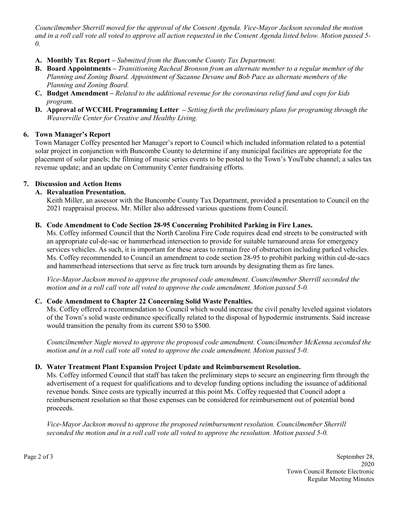*Councilmember Sherrill moved for the approval of the Consent Agenda. Vice-Mayor Jackson seconded the motion and in a roll call vote all voted to approve all action requested in the Consent Agenda listed below. Motion passed 5- 0.*

- **A. Monthly Tax Report –** *Submitted from the Buncombe County Tax Department.*
- **B. Board Appointments –** *Transitioning Racheal Bronson from an alternate member to a regular member of the Planning and Zoning Board. Appointment of Suzanne Devane and Bob Pace as alternate members of the Planning and Zoning Board.*
- **C. Budget Amendment –** *Related to the additional revenue for the coronavirus relief fund and cops for kids program.*
- **D. Approval of WCCHL Programming Letter –** *Setting forth the preliminary plans for programing through the Weaverville Center for Creative and Healthy Living.*

### **6. Town Manager's Report**

Town Manager Coffey presented her Manager's report to Council which included information related to a potential solar project in conjunction with Buncombe County to determine if any municipal facilities are appropriate for the placement of solar panels; the filming of music series events to be posted to the Town's YouTube channel; a sales tax revenue update; and an update on Community Center fundraising efforts.

## **7. Discussion and Action Items**

## **A. Revaluation Presentation.**

Keith Miller, an assessor with the Buncombe County Tax Department, provided a presentation to Council on the 2021 reappraisal process. Mr. Miller also addressed various questions from Council.

### **B. Code Amendment to Code Section 28-95 Concerning Prohibited Parking in Fire Lanes.**

Ms. Coffey informed Council that the North Carolina Fire Code requires dead end streets to be constructed with an appropriate cul-de-sac or hammerhead intersection to provide for suitable turnaround areas for emergency services vehicles. As such, it is important for these areas to remain free of obstruction including parked vehicles. Ms. Coffey recommended to Council an amendment to code section 28-95 to prohibit parking within cul-de-sacs and hammerhead intersections that serve as fire truck turn arounds by designating them as fire lanes.

*Vice-Mayor Jackson moved to approve the proposed code amendment. Councilmember Sherrill seconded the motion and in a roll call vote all voted to approve the code amendment. Motion passed 5-0.*

### **C. Code Amendment to Chapter 22 Concerning Solid Waste Penalties.**

Ms. Coffey offered a recommendation to Council which would increase the civil penalty leveled against violators of the Town's solid waste ordinance specifically related to the disposal of hypodermic instruments. Said increase would transition the penalty from its current \$50 to \$500.

*Councilmember Nagle moved to approve the proposed code amendment. Councilmember McKenna seconded the motion and in a roll call vote all voted to approve the code amendment. Motion passed 5-0.*

## **D. Water Treatment Plant Expansion Project Update and Reimbursement Resolution.**

Ms. Coffey informed Council that staff has taken the preliminary steps to secure an engineering firm through the advertisement of a request for qualifications and to develop funding options including the issuance of additional revenue bonds. Since costs are typically incurred at this point Ms. Coffey requested that Council adopt a reimbursement resolution so that those expenses can be considered for reimbursement out of potential bond proceeds.

*Vice-Mayor Jackson moved to approve the proposed reimbursement resolution. Councilmember Sherrill seconded the motion and in a roll call vote all voted to approve the resolution. Motion passed 5-0.*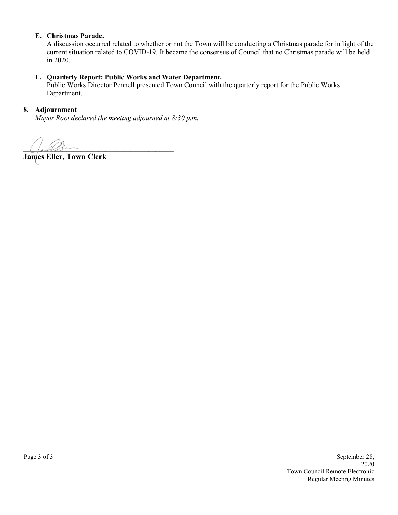### **E. Christmas Parade.**

A discussion occurred related to whether or not the Town will be conducting a Christmas parade for in light of the current situation related to COVID-19. It became the consensus of Council that no Christmas parade will be held in 2020.

#### **F. Quarterly Report: Public Works and Water Department.**

Public Works Director Pennell presented Town Council with the quarterly report for the Public Works Department.

#### **8. Adjournment**

*Mayor Root declared the meeting adjourned at 8:30 p.m.*

 $\bigcup_{\alpha\in\mathcal{U}}\mathcal{U}\bigcup_{\alpha\in\mathcal{U}}\mathcal{U}$ 

**James Eller, Town Clerk**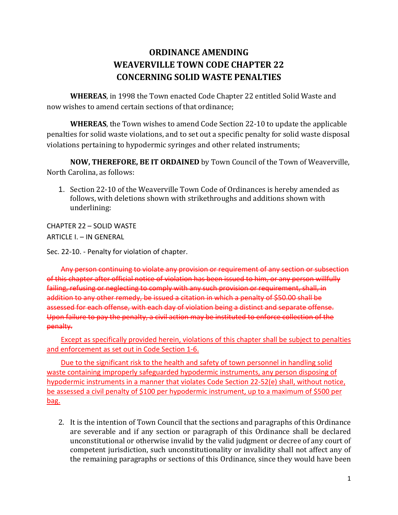# **ORDINANCE AMENDING WEAVERVILLE TOWN CODE CHAPTER 22 CONCERNING SOLID WASTE PENALTIES**

**WHEREAS**, in 1998 the Town enacted Code Chapter 22 entitled Solid Waste and now wishes to amend certain sections of that ordinance;

**WHEREAS**, the Town wishes to amend Code Section 22-10 to update the applicable penalties for solid waste violations, and to set out a specific penalty for solid waste disposal violations pertaining to hypodermic syringes and other related instruments;

**NOW, THEREFORE, BE IT ORDAINED** by Town Council of the Town of Weaverville, North Carolina, as follows:

1. Section 22-10 of the Weaverville Town Code of Ordinances is hereby amended as follows, with deletions shown with strikethroughs and additions shown with underlining:

CHAPTER 22 – SOLID WASTE ARTICLE I. – IN GENERAL

Sec. 22-10. - Penalty for violation of chapter.

Any person continuing to violate any provision or requirement of any section or subsection of this chapter after official notice of violation has been issued to him, or any person willfully failing, refusing or neglecting to comply with any such provision or requirement, shall, in addition to any other remedy, be issued a citation in which a penalty of \$50.00 shall be assessed for each offense, with each day of violation being a distinct and separate offense. Upon failure to pay the penalty, a civil action may be instituted to enforce collection of the penalty.

Except as specifically provided herein, violations of this chapter shall be subject to penalties and enforcement as set out in Code Section 1-6.

Due to the significant risk to the health and safety of town personnel in handling solid waste containing improperly safeguarded hypodermic instruments, any person disposing of hypodermic instruments in a manner that violates Code Section 22-52(e) shall, without notice, be assessed a civil penalty of \$100 per hypodermic instrument, up to a maximum of \$500 per bag.

2. It is the intention of Town Council that the sections and paragraphs of this Ordinance are severable and if any section or paragraph of this Ordinance shall be declared unconstitutional or otherwise invalid by the valid judgment or decree of any court of competent jurisdiction, such unconstitutionality or invalidity shall not affect any of the remaining paragraphs or sections of this Ordinance, since they would have been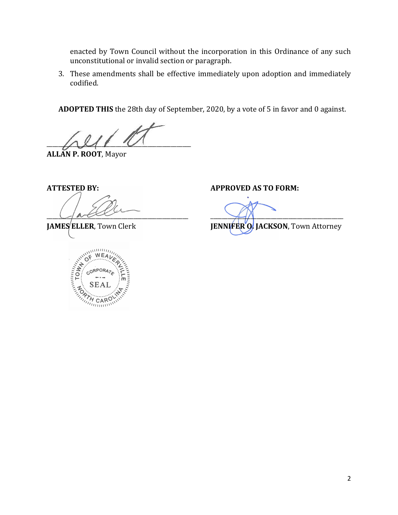enacted by Town Council without the incorporation in this Ordinance of any such unconstitutional or invalid section or paragraph.

3. These amendments shall be effective immediately upon adoption and immediately codified.

**ADOPTED THIS** the 28th day of September, 2020, by a vote of 5 in favor and 0 against.

 $\sqrt{211}$ 

**ALLAN P. ROOT**, Mayor



**ATTESTED BY: APPROVED AS TO FORM:**

\_\_\_\_\_\_\_\_\_\_\_\_\_\_\_\_\_\_\_\_\_\_\_\_\_\_\_\_\_\_\_\_\_\_\_\_\_\_\_\_\_\_\_\_\_\_\_\_\_ \_\_\_\_\_\_\_\_\_\_\_\_\_\_\_\_\_\_\_\_\_\_\_\_\_\_\_\_\_\_\_\_\_\_\_\_\_\_\_\_\_\_\_\_\_\_ **JAMES ELLER**, Town Clerk **JENNIFER O. JACKSON**, Town Attorney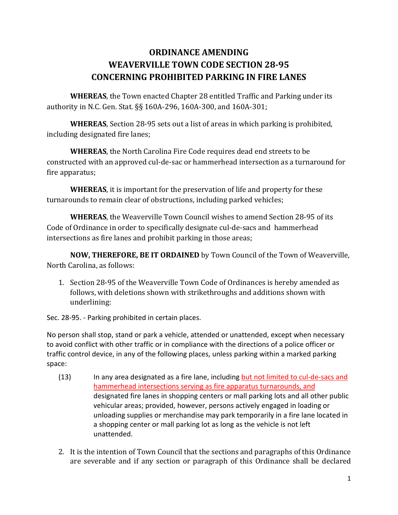# **ORDINANCE AMENDING WEAVERVILLE TOWN CODE SECTION 28-95 CONCERNING PROHIBITED PARKING IN FIRE LANES**

**WHEREAS**, the Town enacted Chapter 28 entitled Traffic and Parking under its authority in N.C. Gen. Stat. §§ 160A-296, 160A-300, and 160A-301;

**WHEREAS**, Section 28-95 sets out a list of areas in which parking is prohibited, including designated fire lanes;

**WHEREAS**, the North Carolina Fire Code requires dead end streets to be constructed with an approved cul-de-sac or hammerhead intersection as a turnaround for fire apparatus;

**WHEREAS**, it is important for the preservation of life and property for these turnarounds to remain clear of obstructions, including parked vehicles;

**WHEREAS**, the Weaverville Town Council wishes to amend Section 28-95 of its Code of Ordinance in order to specifically designate cul-de-sacs and hammerhead intersections as fire lanes and prohibit parking in those areas;

**NOW, THEREFORE, BE IT ORDAINED** by Town Council of the Town of Weaverville, North Carolina, as follows:

1. Section 28-95 of the Weaverville Town Code of Ordinances is hereby amended as follows, with deletions shown with strikethroughs and additions shown with underlining:

Sec. 28-95. - Parking prohibited in certain places.

No person shall stop, stand or park a vehicle, attended or unattended, except when necessary to avoid conflict with other traffic or in compliance with the directions of a police officer or traffic control device, in any of the following places, unless parking within a marked parking space:

- (13) In any area designated as a fire lane, including but not limited to cul-de-sacs and hammerhead intersections serving as fire apparatus turnarounds, and designated fire lanes in shopping centers or mall parking lots and all other public vehicular areas; provided, however, persons actively engaged in loading or unloading supplies or merchandise may park temporarily in a fire lane located in a shopping center or mall parking lot as long as the vehicle is not left unattended.
- 2. It is the intention of Town Council that the sections and paragraphs of this Ordinance are severable and if any section or paragraph of this Ordinance shall be declared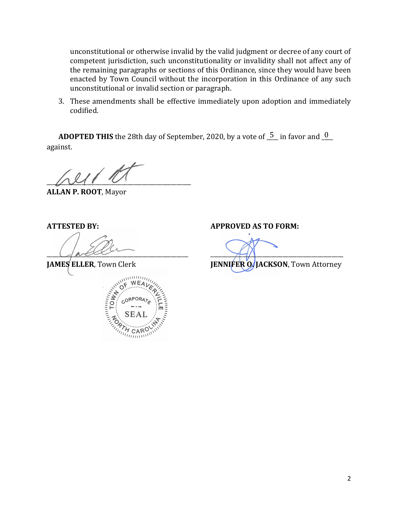unconstitutional or otherwise invalid by the valid judgment or decree of any court of competent jurisdiction, such unconstitutionality or invalidity shall not affect any of the remaining paragraphs or sections of this Ordinance, since they would have been enacted by Town Council without the incorporation in this Ordinance of any such unconstitutional or invalid section or paragraph.

3. These amendments shall be effective immediately upon adoption and immediately codified.

**ADOPTED THIS** the 28th day of September, 2020, by a vote of  $\frac{5}{5}$  in favor and  $\frac{0}{5}$ against.

 $U \cup V$ 

**ALLAN P. ROOT**, Mayor



**ATTESTED BY: APPROVED AS TO FORM:**

\_\_\_\_\_\_\_\_\_\_\_\_\_\_\_\_\_\_\_\_\_\_\_\_\_\_\_\_\_\_\_\_\_\_\_\_\_\_\_\_\_\_\_\_\_\_\_\_\_ \_\_\_\_\_\_\_\_\_\_\_\_\_\_\_\_\_\_\_\_\_\_\_\_\_\_\_\_\_\_\_\_\_\_\_\_\_\_\_\_\_\_\_\_\_\_

**JAMES ELLER, Town Clerk <b>JENNIFER O. JACKSON**, Town Attorney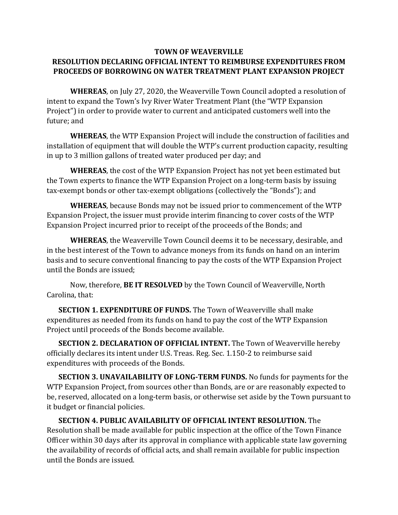## **TOWN OF WEAVERVILLE RESOLUTION DECLARING OFFICIAL INTENT TO REIMBURSE EXPENDITURES FROM PROCEEDS OF BORROWING ON WATER TREATMENT PLANT EXPANSION PROJECT**

**WHEREAS**, on July 27, 2020, the Weaverville Town Council adopted a resolution of intent to expand the Town's Ivy River Water Treatment Plant (the "WTP Expansion Project") in order to provide water to current and anticipated customers well into the future; and

**WHEREAS**, the WTP Expansion Project will include the construction of facilities and installation of equipment that will double the WTP's current production capacity, resulting in up to 3 million gallons of treated water produced per day; and

**WHEREAS**, the cost of the WTP Expansion Project has not yet been estimated but the Town experts to finance the WTP Expansion Project on a long-term basis by issuing tax-exempt bonds or other tax-exempt obligations (collectively the "Bonds"); and

**WHEREAS**, because Bonds may not be issued prior to commencement of the WTP Expansion Project, the issuer must provide interim financing to cover costs of the WTP Expansion Project incurred prior to receipt of the proceeds of the Bonds; and

**WHEREAS**, the Weaverville Town Council deems it to be necessary, desirable, and in the best interest of the Town to advance moneys from its funds on hand on an interim basis and to secure conventional financing to pay the costs of the WTP Expansion Project until the Bonds are issued;

Now, therefore, **BE IT RESOLVED** by the Town Council of Weaverville, North Carolina, that:

**SECTION 1. EXPENDITURE OF FUNDS.** The Town of Weaverville shall make expenditures as needed from its funds on hand to pay the cost of the WTP Expansion Project until proceeds of the Bonds become available.

**SECTION 2. DECLARATION OF OFFICIAL INTENT.** The Town of Weaverville hereby officially declares its intent under U.S. Treas. Reg. Sec. 1.150-2 to reimburse said expenditures with proceeds of the Bonds.

**SECTION 3. UNAVAILABILITY OF LONG-TERM FUNDS.** No funds for payments for the WTP Expansion Project, from sources other than Bonds, are or are reasonably expected to be, reserved, allocated on a long-term basis, or otherwise set aside by the Town pursuant to it budget or financial policies.

**SECTION 4. PUBLIC AVAILABILITY OF OFFICIAL INTENT RESOLUTION.** The Resolution shall be made available for public inspection at the office of the Town Finance Officer within 30 days after its approval in compliance with applicable state law governing the availability of records of official acts, and shall remain available for public inspection until the Bonds are issued.